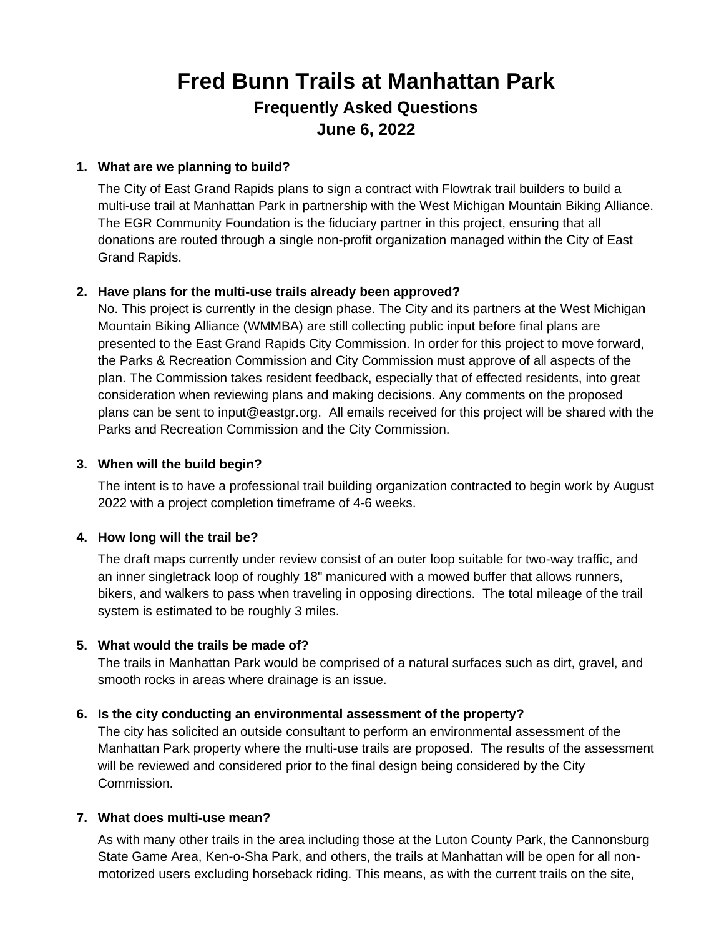# **Fred Bunn Trails at Manhattan Park Frequently Asked Questions June 6, 2022**

## **1. What are we planning to build?**

The City of East Grand Rapids plans to sign a contract with Flowtrak trail builders to build a multi-use trail at Manhattan Park in partnership with the West Michigan Mountain Biking Alliance. The EGR Community Foundation is the fiduciary partner in this project, ensuring that all donations are routed through a single non-profit organization managed within the City of East Grand Rapids.

## **2. Have plans for the multi-use trails already been approved?**

No. This project is currently in the design phase. The City and its partners at the West Michigan Mountain Biking Alliance (WMMBA) are still collecting public input before final plans are presented to the East Grand Rapids City Commission. In order for this project to move forward, the Parks & Recreation Commission and City Commission must approve of all aspects of the plan. The Commission takes resident feedback, especially that of effected residents, into great consideration when reviewing plans and making decisions. Any comments on the proposed plans can be sent to [input@eastgr.org.](mailto:input@eastgr.org) All emails received for this project will be shared with the Parks and Recreation Commission and the City Commission.

## **3. When will the build begin?**

The intent is to have a professional trail building organization contracted to begin work by August 2022 with a project completion timeframe of 4-6 weeks.

## **4. How long will the trail be?**

The draft maps currently under review consist of an outer loop suitable for two-way traffic, and an inner singletrack loop of roughly 18" manicured with a mowed buffer that allows runners, bikers, and walkers to pass when traveling in opposing directions. The total mileage of the trail system is estimated to be roughly 3 miles.

## **5. What would the trails be made of?**

The trails in Manhattan Park would be comprised of a natural surfaces such as dirt, gravel, and smooth rocks in areas where drainage is an issue.

## **6. Is the city conducting an environmental assessment of the property?**

The city has solicited an outside consultant to perform an environmental assessment of the Manhattan Park property where the multi-use trails are proposed. The results of the assessment will be reviewed and considered prior to the final design being considered by the City Commission.

## **7. What does multi-use mean?**

As with many other trails in the area including those at the Luton County Park, the Cannonsburg State Game Area, Ken-o-Sha Park, and others, the trails at Manhattan will be open for all nonmotorized users excluding horseback riding. This means, as with the current trails on the site,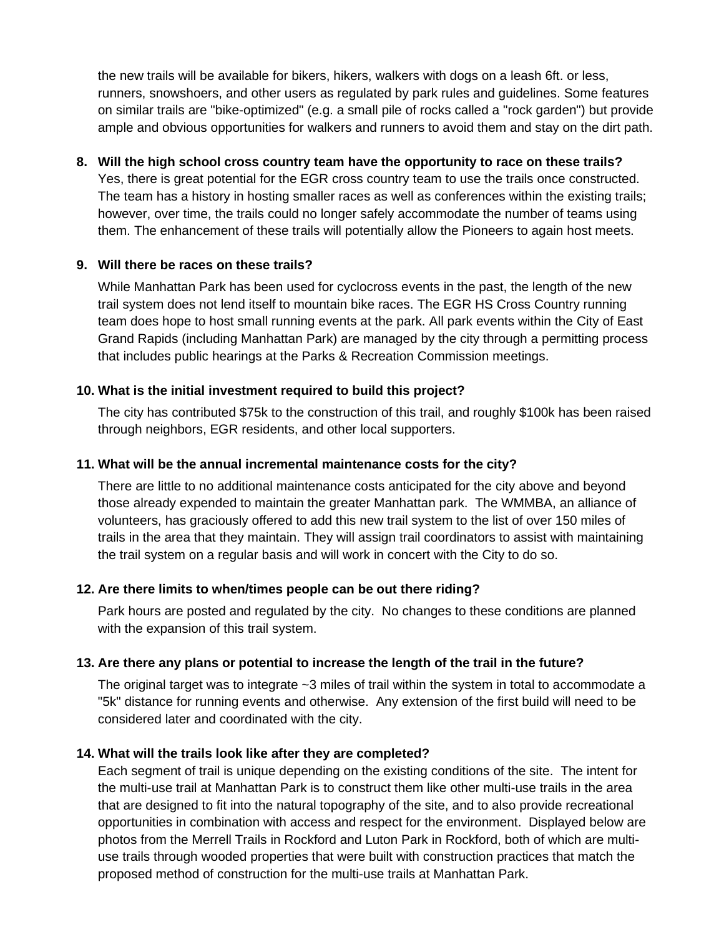the new trails will be available for bikers, hikers, walkers with dogs on a leash 6ft. or less, runners, snowshoers, and other users as regulated by park rules and guidelines. Some features on similar trails are "bike-optimized" (e.g. a small pile of rocks called a "rock garden") but provide ample and obvious opportunities for walkers and runners to avoid them and stay on the dirt path.

## **8. Will the high school cross country team have the opportunity to race on these trails?**

Yes, there is great potential for the EGR cross country team to use the trails once constructed. The team has a history in hosting smaller races as well as conferences within the existing trails; however, over time, the trails could no longer safely accommodate the number of teams using them. The enhancement of these trails will potentially allow the Pioneers to again host meets.

## **9. Will there be races on these trails?**

While Manhattan Park has been used for cyclocross events in the past, the length of the new trail system does not lend itself to mountain bike races. The EGR HS Cross Country running team does hope to host small running events at the park. All park events within the City of East Grand Rapids (including Manhattan Park) are managed by the city through a permitting process that includes public hearings at the Parks & Recreation Commission meetings.

## **10. What is the initial investment required to build this project?**

The city has contributed \$75k to the construction of this trail, and roughly \$100k has been raised through neighbors, EGR residents, and other local supporters.

## **11. What will be the annual incremental maintenance costs for the city?**

There are little to no additional maintenance costs anticipated for the city above and beyond those already expended to maintain the greater Manhattan park. The WMMBA, an alliance of volunteers, has graciously offered to add this new trail system to the list of over 150 miles of trails in the area that they maintain. They will assign trail coordinators to assist with maintaining the trail system on a regular basis and will work in concert with the City to do so.

## **12. Are there limits to when/times people can be out there riding?**

Park hours are posted and regulated by the city. No changes to these conditions are planned with the expansion of this trail system.

## **13. Are there any plans or potential to increase the length of the trail in the future?**

The original target was to integrate ~3 miles of trail within the system in total to accommodate a "5k" distance for running events and otherwise. Any extension of the first build will need to be considered later and coordinated with the city.

## **14. What will the trails look like after they are completed?**

Each segment of trail is unique depending on the existing conditions of the site. The intent for the multi-use trail at Manhattan Park is to construct them like other multi-use trails in the area that are designed to fit into the natural topography of the site, and to also provide recreational opportunities in combination with access and respect for the environment. Displayed below are photos from the Merrell Trails in Rockford and Luton Park in Rockford, both of which are multiuse trails through wooded properties that were built with construction practices that match the proposed method of construction for the multi-use trails at Manhattan Park.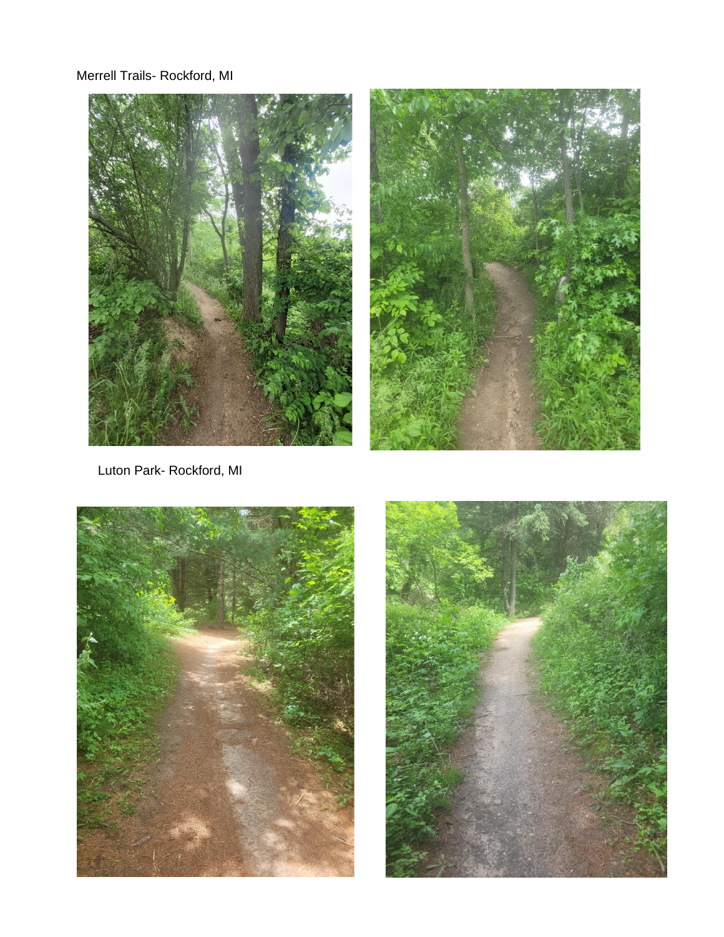Merrell Trails- Rockford, MI





Luton Park- Rockford, MI



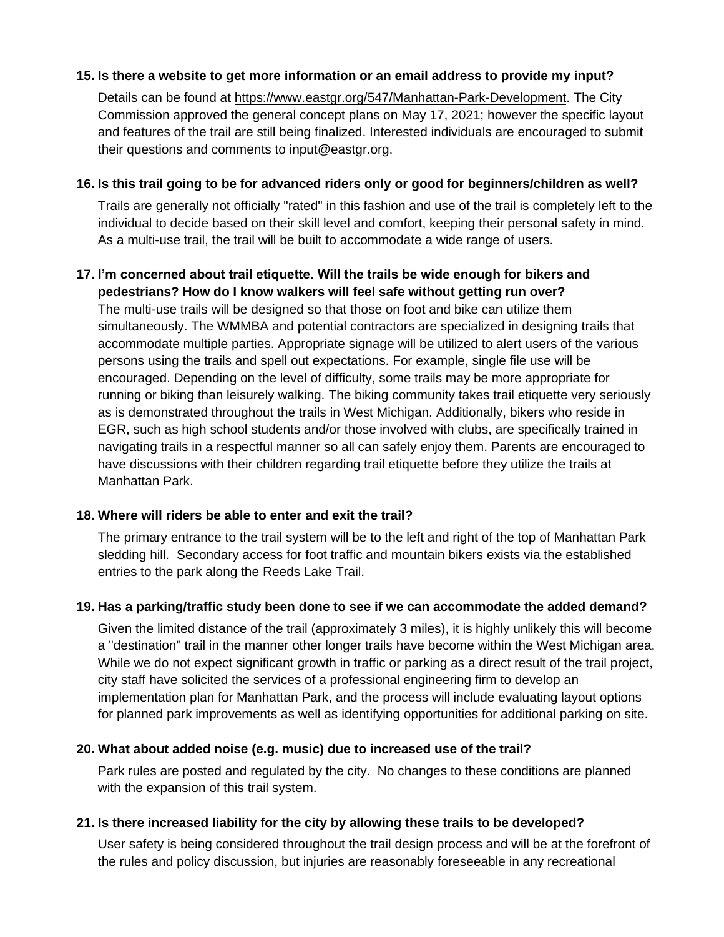## **15. Is there a website to get more information or an email address to provide my input?**

Details can be found at [https://www.eastgr.org/547/Manhattan-Park-Development.](https://www.eastgr.org/547/Manhattan-Park-Development) The City Commission approved the general concept plans on May 17, 2021; however the specific layout and features of the trail are still being finalized. Interested individuals are encouraged to submit their questions and comments to input@eastgr.org.

#### **16. Is this trail going to be for advanced riders only or good for beginners/children as well?**

Trails are generally not officially "rated" in this fashion and use of the trail is completely left to the individual to decide based on their skill level and comfort, keeping their personal safety in mind. As a multi-use trail, the trail will be built to accommodate a wide range of users.

#### **17. I'm concerned about trail etiquette. Will the trails be wide enough for bikers and pedestrians? How do I know walkers will feel safe without getting run over?**

The multi-use trails will be designed so that those on foot and bike can utilize them simultaneously. The WMMBA and potential contractors are specialized in designing trails that accommodate multiple parties. Appropriate signage will be utilized to alert users of the various persons using the trails and spell out expectations. For example, single file use will be encouraged. Depending on the level of difficulty, some trails may be more appropriate for running or biking than leisurely walking. The biking community takes trail etiquette very seriously as is demonstrated throughout the trails in West Michigan. Additionally, bikers who reside in EGR, such as high school students and/or those involved with clubs, are specifically trained in navigating trails in a respectful manner so all can safely enjoy them. Parents are encouraged to have discussions with their children regarding trail etiquette before they utilize the trails at Manhattan Park.

## **18. Where will riders be able to enter and exit the trail?**

The primary entrance to the trail system will be to the left and right of the top of Manhattan Park sledding hill. Secondary access for foot traffic and mountain bikers exists via the established entries to the park along the Reeds Lake Trail.

#### **19. Has a parking/traffic study been done to see if we can accommodate the added demand?**

Given the limited distance of the trail (approximately 3 miles), it is highly unlikely this will become a "destination" trail in the manner other longer trails have become within the West Michigan area. While we do not expect significant growth in traffic or parking as a direct result of the trail project, city staff have solicited the services of a professional engineering firm to develop an implementation plan for Manhattan Park, and the process will include evaluating layout options for planned park improvements as well as identifying opportunities for additional parking on site.

## **20. What about added noise (e.g. music) due to increased use of the trail?**

Park rules are posted and regulated by the city. No changes to these conditions are planned with the expansion of this trail system.

## **21. Is there increased liability for the city by allowing these trails to be developed?**

User safety is being considered throughout the trail design process and will be at the forefront of the rules and policy discussion, but injuries are reasonably foreseeable in any recreational